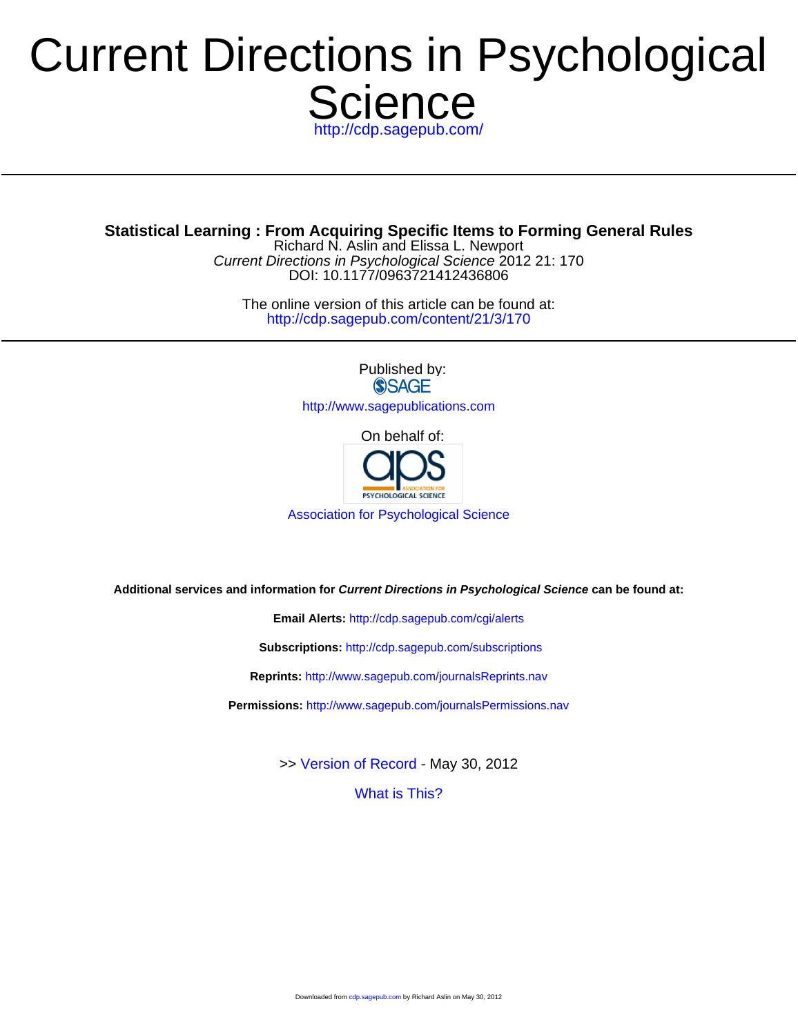# **Science** Current Directions in Psychological

<http://cdp.sagepub.com/>

**Statistical Learning : From Acquiring Specific Items to Forming General Rules**

DOI: 10.1177/0963721412436806 Current Directions in Psychological Science 2012 21: 170 Richard N. Aslin and Elissa L. Newport

<http://cdp.sagepub.com/content/21/3/170> The online version of this article can be found at:

> Published by:<br>
> SAGE <http://www.sagepublications.com>

> > On behalf of:



[Association for Psychological Science](http://www.psychologicalscience.org/)

**Additional services and information for Current Directions in Psychological Science can be found at:**

**Email Alerts:** <http://cdp.sagepub.com/cgi/alerts>

**Subscriptions:** <http://cdp.sagepub.com/subscriptions>

**Reprints:** <http://www.sagepub.com/journalsReprints.nav>

**Permissions:** <http://www.sagepub.com/journalsPermissions.nav>

>> [Version of Record -](http://cdp.sagepub.com/content/21/3/170.full.pdf) May 30, 2012

[What is This?](http://online.sagepub.com/site/sphelp/vorhelp.xhtml)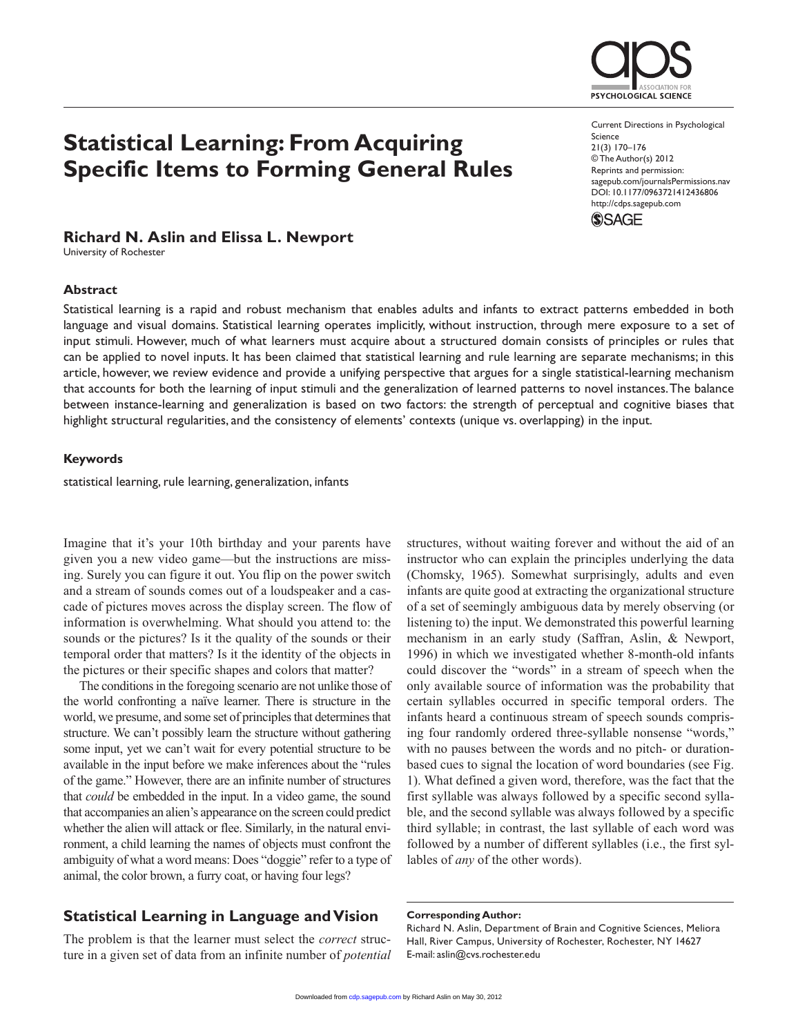## **Statistical Learning: From Acquiring Specific Items to Forming General Rules**

#### **Richard N. Aslin and Elissa L. Newport**

University of Rochester

#### **Abstract**

Statistical learning is a rapid and robust mechanism that enables adults and infants to extract patterns embedded in both language and visual domains. Statistical learning operates implicitly, without instruction, through mere exposure to a set of input stimuli. However, much of what learners must acquire about a structured domain consists of principles or rules that can be applied to novel inputs. It has been claimed that statistical learning and rule learning are separate mechanisms; in this article, however, we review evidence and provide a unifying perspective that argues for a single statistical-learning mechanism that accounts for both the learning of input stimuli and the generalization of learned patterns to novel instances. The balance between instance-learning and generalization is based on two factors: the strength of perceptual and cognitive biases that highlight structural regularities, and the consistency of elements' contexts (unique vs. overlapping) in the input.

#### **Keywords**

statistical learning, rule learning, generalization, infants

Imagine that it's your 10th birthday and your parents have given you a new video game—but the instructions are missing. Surely you can figure it out. You flip on the power switch and a stream of sounds comes out of a loudspeaker and a cascade of pictures moves across the display screen. The flow of information is overwhelming. What should you attend to: the sounds or the pictures? Is it the quality of the sounds or their temporal order that matters? Is it the identity of the objects in the pictures or their specific shapes and colors that matter?

The conditions in the foregoing scenario are not unlike those of the world confronting a naïve learner. There is structure in the world, we presume, and some set of principles that determines that structure. We can't possibly learn the structure without gathering some input, yet we can't wait for every potential structure to be available in the input before we make inferences about the "rules of the game." However, there are an infinite number of structures that *could* be embedded in the input. In a video game, the sound that accompanies an alien's appearance on the screen could predict whether the alien will attack or flee. Similarly, in the natural environment, a child learning the names of objects must confront the ambiguity of what a word means: Does "doggie" refer to a type of animal, the color brown, a furry coat, or having four legs?

### **Statistical Learning in Language and Vision**

The problem is that the learner must select the *correct* structure in a given set of data from an infinite number of *potential* structures, without waiting forever and without the aid of an instructor who can explain the principles underlying the data (Chomsky, 1965). Somewhat surprisingly, adults and even infants are quite good at extracting the organizational structure of a set of seemingly ambiguous data by merely observing (or listening to) the input. We demonstrated this powerful learning mechanism in an early study (Saffran, Aslin, & Newport, 1996) in which we investigated whether 8-month-old infants could discover the "words" in a stream of speech when the only available source of information was the probability that certain syllables occurred in specific temporal orders. The infants heard a continuous stream of speech sounds comprising four randomly ordered three-syllable nonsense "words," with no pauses between the words and no pitch- or durationbased cues to signal the location of word boundaries (see Fig. 1). What defined a given word, therefore, was the fact that the first syllable was always followed by a specific second syllable, and the second syllable was always followed by a specific third syllable; in contrast, the last syllable of each word was followed by a number of different syllables (i.e., the first syllables of *any* of the other words).

#### **Corresponding Author:**

Richard N. Aslin, Department of Brain and Cognitive Sciences, Meliora Hall, River Campus, University of Rochester, Rochester, NY 14627 E-mail: aslin@cvs.rochester.edu



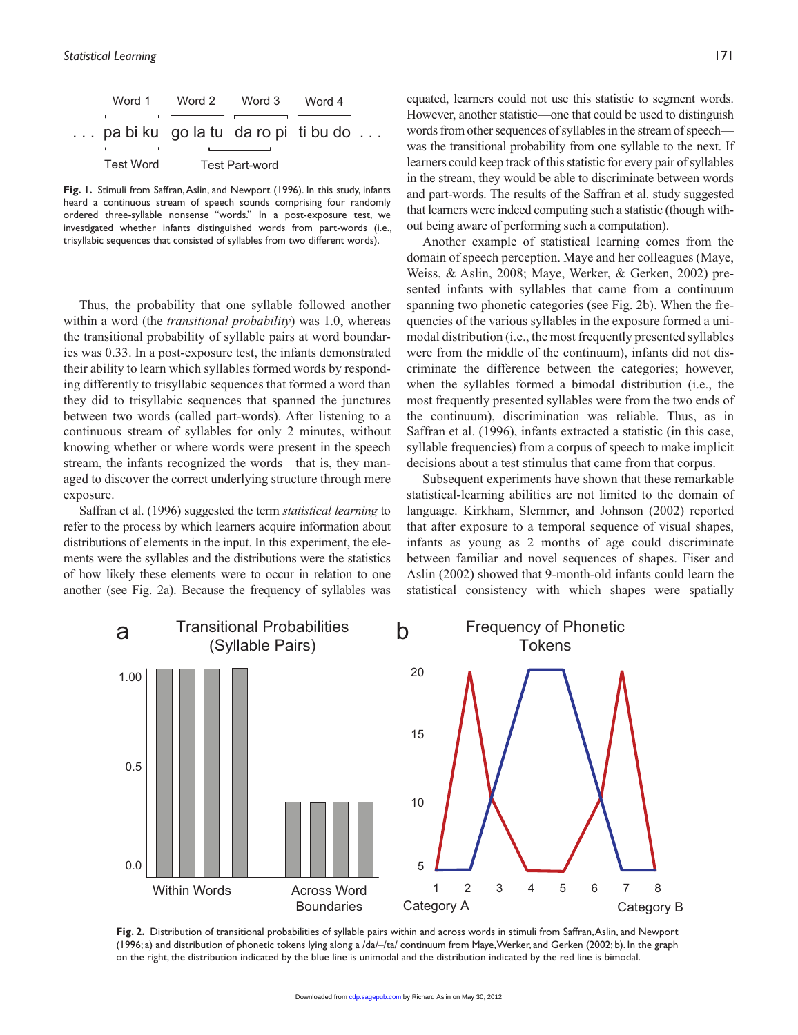| Word 1                                       | Word 2         | Word 3 | Word 4 |  |
|----------------------------------------------|----------------|--------|--------|--|
| $\ldots$ pa bi ku go la tu da ro pi ti bu do |                |        |        |  |
| Test Word                                    | Test Part-word |        |        |  |

**Fig. 1.** Stimuli from Saffran, Aslin, and Newport (1996). In this study, infants heard a continuous stream of speech sounds comprising four randomly ordered three-syllable nonsense "words." In a post-exposure test, we investigated whether infants distinguished words from part-words (i.e., trisyllabic sequences that consisted of syllables from two different words).

Thus, the probability that one syllable followed another within a word (the *transitional probability*) was 1.0, whereas the transitional probability of syllable pairs at word boundaries was 0.33. In a post-exposure test, the infants demonstrated their ability to learn which syllables formed words by responding differently to trisyllabic sequences that formed a word than they did to trisyllabic sequences that spanned the junctures between two words (called part-words). After listening to a continuous stream of syllables for only 2 minutes, without knowing whether or where words were present in the speech stream, the infants recognized the words—that is, they managed to discover the correct underlying structure through mere exposure.

Saffran et al. (1996) suggested the term *statistical learning* to refer to the process by which learners acquire information about distributions of elements in the input. In this experiment, the elements were the syllables and the distributions were the statistics of how likely these elements were to occur in relation to one another (see Fig. 2a). Because the frequency of syllables was equated, learners could not use this statistic to segment words. However, another statistic—one that could be used to distinguish words from other sequences of syllables in the stream of speech was the transitional probability from one syllable to the next. If learners could keep track of this statistic for every pair of syllables in the stream, they would be able to discriminate between words and part-words. The results of the Saffran et al. study suggested that learners were indeed computing such a statistic (though without being aware of performing such a computation).

Another example of statistical learning comes from the domain of speech perception. Maye and her colleagues (Maye, Weiss, & Aslin, 2008; Maye, Werker, & Gerken, 2002) presented infants with syllables that came from a continuum spanning two phonetic categories (see Fig. 2b). When the frequencies of the various syllables in the exposure formed a unimodal distribution (i.e., the most frequently presented syllables were from the middle of the continuum), infants did not discriminate the difference between the categories; however, when the syllables formed a bimodal distribution (i.e., the most frequently presented syllables were from the two ends of the continuum), discrimination was reliable. Thus, as in Saffran et al. (1996), infants extracted a statistic (in this case, syllable frequencies) from a corpus of speech to make implicit decisions about a test stimulus that came from that corpus.

Subsequent experiments have shown that these remarkable statistical-learning abilities are not limited to the domain of language. Kirkham, Slemmer, and Johnson (2002) reported that after exposure to a temporal sequence of visual shapes, infants as young as 2 months of age could discriminate between familiar and novel sequences of shapes. Fiser and Aslin (2002) showed that 9-month-old infants could learn the statistical consistency with which shapes were spatially



**Fig. 2.** Distribution of transitional probabilities of syllable pairs within and across words in stimuli from Saffran, Aslin, and Newport (1996; a) and distribution of phonetic tokens lying along a /da/–/ta/ continuum from Maye, Werker, and Gerken (2002; b). In the graph on the right, the distribution indicated by the blue line is unimodal and the distribution indicated by the red line is bimodal.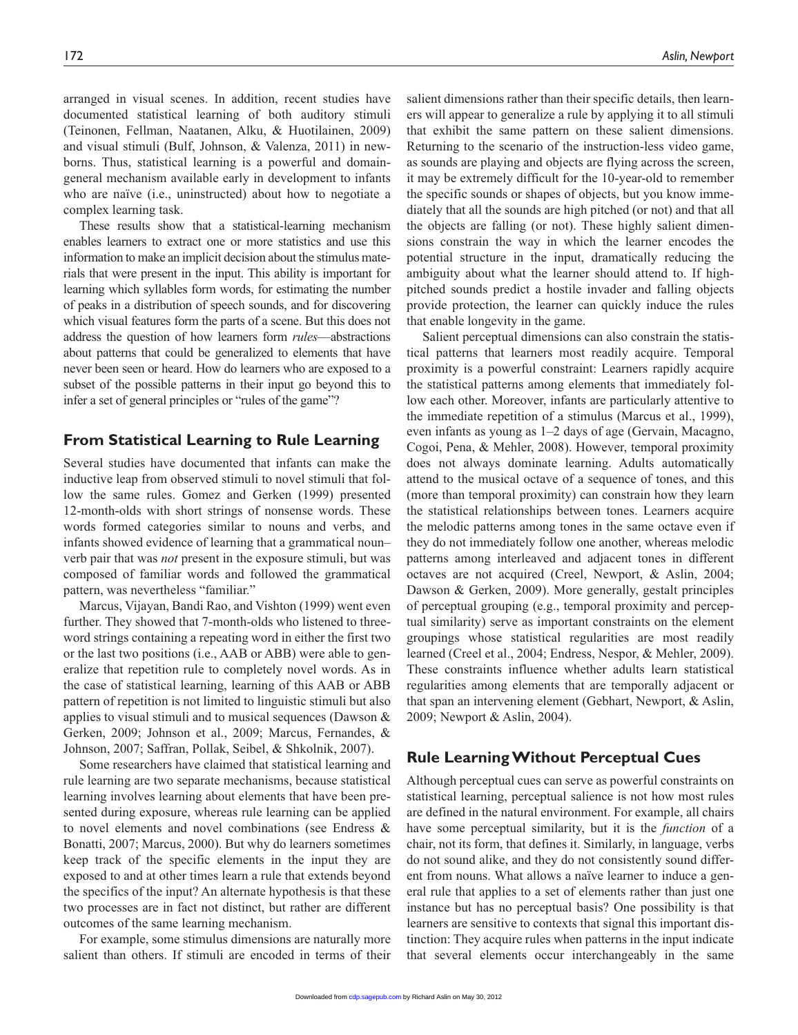arranged in visual scenes. In addition, recent studies have documented statistical learning of both auditory stimuli (Teinonen, Fellman, Naatanen, Alku, & Huotilainen, 2009) and visual stimuli (Bulf, Johnson, & Valenza, 2011) in newborns. Thus, statistical learning is a powerful and domaingeneral mechanism available early in development to infants who are naïve (i.e., uninstructed) about how to negotiate a complex learning task.

These results show that a statistical-learning mechanism enables learners to extract one or more statistics and use this information to make an implicit decision about the stimulus materials that were present in the input. This ability is important for learning which syllables form words, for estimating the number of peaks in a distribution of speech sounds, and for discovering which visual features form the parts of a scene. But this does not address the question of how learners form *rules*—abstractions about patterns that could be generalized to elements that have never been seen or heard. How do learners who are exposed to a subset of the possible patterns in their input go beyond this to infer a set of general principles or "rules of the game"?

#### **From Statistical Learning to Rule Learning**

Several studies have documented that infants can make the inductive leap from observed stimuli to novel stimuli that follow the same rules. Gomez and Gerken (1999) presented 12-month-olds with short strings of nonsense words. These words formed categories similar to nouns and verbs, and infants showed evidence of learning that a grammatical noun– verb pair that was *not* present in the exposure stimuli, but was composed of familiar words and followed the grammatical pattern, was nevertheless "familiar."

Marcus, Vijayan, Bandi Rao, and Vishton (1999) went even further. They showed that 7-month-olds who listened to threeword strings containing a repeating word in either the first two or the last two positions (i.e., AAB or ABB) were able to generalize that repetition rule to completely novel words. As in the case of statistical learning, learning of this AAB or ABB pattern of repetition is not limited to linguistic stimuli but also applies to visual stimuli and to musical sequences (Dawson & Gerken, 2009; Johnson et al., 2009; Marcus, Fernandes, & Johnson, 2007; Saffran, Pollak, Seibel, & Shkolnik, 2007).

Some researchers have claimed that statistical learning and rule learning are two separate mechanisms, because statistical learning involves learning about elements that have been presented during exposure, whereas rule learning can be applied to novel elements and novel combinations (see Endress & Bonatti, 2007; Marcus, 2000). But why do learners sometimes keep track of the specific elements in the input they are exposed to and at other times learn a rule that extends beyond the specifics of the input? An alternate hypothesis is that these two processes are in fact not distinct, but rather are different outcomes of the same learning mechanism.

For example, some stimulus dimensions are naturally more salient than others. If stimuli are encoded in terms of their

salient dimensions rather than their specific details, then learners will appear to generalize a rule by applying it to all stimuli that exhibit the same pattern on these salient dimensions. Returning to the scenario of the instruction-less video game, as sounds are playing and objects are flying across the screen, it may be extremely difficult for the 10-year-old to remember the specific sounds or shapes of objects, but you know immediately that all the sounds are high pitched (or not) and that all the objects are falling (or not). These highly salient dimensions constrain the way in which the learner encodes the potential structure in the input, dramatically reducing the ambiguity about what the learner should attend to. If highpitched sounds predict a hostile invader and falling objects provide protection, the learner can quickly induce the rules that enable longevity in the game.

Salient perceptual dimensions can also constrain the statistical patterns that learners most readily acquire. Temporal proximity is a powerful constraint: Learners rapidly acquire the statistical patterns among elements that immediately follow each other. Moreover, infants are particularly attentive to the immediate repetition of a stimulus (Marcus et al., 1999), even infants as young as 1–2 days of age (Gervain, Macagno, Cogoi, Pena, & Mehler, 2008). However, temporal proximity does not always dominate learning. Adults automatically attend to the musical octave of a sequence of tones, and this (more than temporal proximity) can constrain how they learn the statistical relationships between tones. Learners acquire the melodic patterns among tones in the same octave even if they do not immediately follow one another, whereas melodic patterns among interleaved and adjacent tones in different octaves are not acquired (Creel, Newport, & Aslin, 2004; Dawson & Gerken, 2009). More generally, gestalt principles of perceptual grouping (e.g., temporal proximity and perceptual similarity) serve as important constraints on the element groupings whose statistical regularities are most readily learned (Creel et al., 2004; Endress, Nespor, & Mehler, 2009). These constraints influence whether adults learn statistical regularities among elements that are temporally adjacent or that span an intervening element (Gebhart, Newport, & Aslin, 2009; Newport & Aslin, 2004).

#### **Rule Learning Without Perceptual Cues**

Although perceptual cues can serve as powerful constraints on statistical learning, perceptual salience is not how most rules are defined in the natural environment. For example, all chairs have some perceptual similarity, but it is the *function* of a chair, not its form, that defines it. Similarly, in language, verbs do not sound alike, and they do not consistently sound different from nouns. What allows a naïve learner to induce a general rule that applies to a set of elements rather than just one instance but has no perceptual basis? One possibility is that learners are sensitive to contexts that signal this important distinction: They acquire rules when patterns in the input indicate that several elements occur interchangeably in the same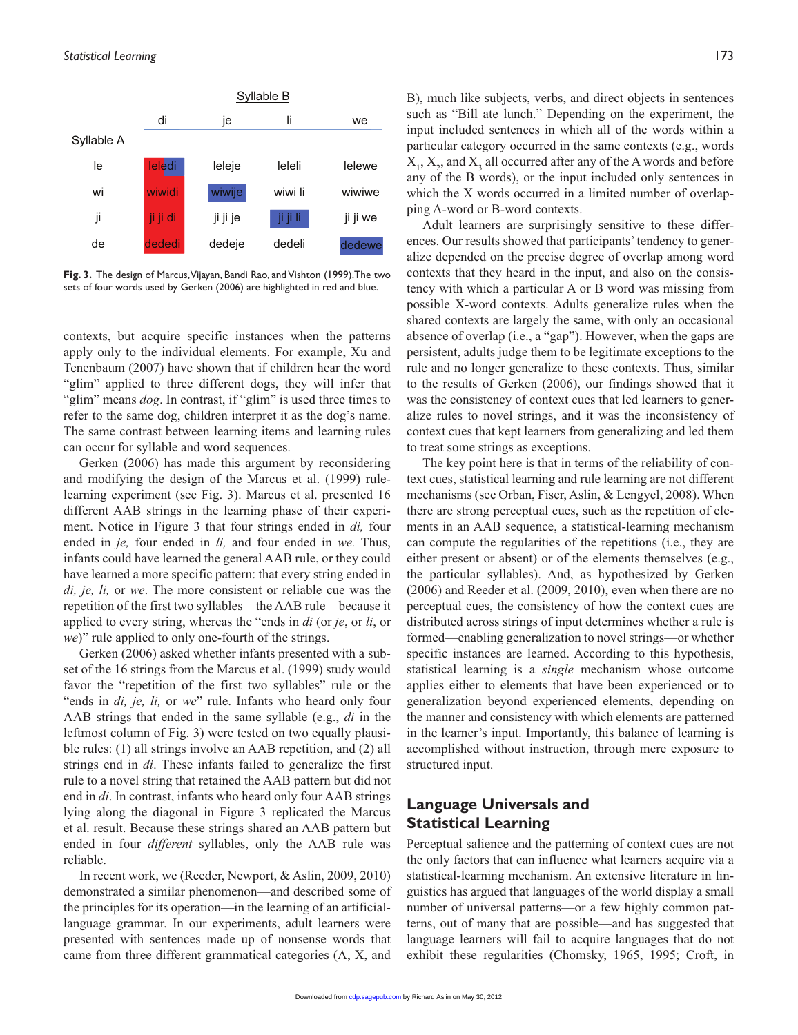

**Fig. 3.** The design of Marcus, Vijayan, Bandi Rao, and Vishton (1999).The two sets of four words used by Gerken (2006) are highlighted in red and blue.

contexts, but acquire specific instances when the patterns apply only to the individual elements. For example, Xu and Tenenbaum (2007) have shown that if children hear the word "glim" applied to three different dogs, they will infer that "glim" means *dog*. In contrast, if "glim" is used three times to refer to the same dog, children interpret it as the dog's name. The same contrast between learning items and learning rules can occur for syllable and word sequences.

Gerken (2006) has made this argument by reconsidering and modifying the design of the Marcus et al. (1999) rulelearning experiment (see Fig. 3). Marcus et al. presented 16 different AAB strings in the learning phase of their experiment. Notice in Figure 3 that four strings ended in *di,* four ended in *je,* four ended in *li,* and four ended in *we.* Thus, infants could have learned the general AAB rule, or they could have learned a more specific pattern: that every string ended in *di, je, li,* or *we*. The more consistent or reliable cue was the repetition of the first two syllables—the AAB rule—because it applied to every string, whereas the "ends in *di* (or *je*, or *li*, or *we*)" rule applied to only one-fourth of the strings.

Gerken (2006) asked whether infants presented with a subset of the 16 strings from the Marcus et al. (1999) study would favor the "repetition of the first two syllables" rule or the "ends in *di, je, li,* or *we*" rule. Infants who heard only four AAB strings that ended in the same syllable (e.g., *di* in the leftmost column of Fig. 3) were tested on two equally plausible rules: (1) all strings involve an AAB repetition, and (2) all strings end in *di*. These infants failed to generalize the first rule to a novel string that retained the AAB pattern but did not end in *di*. In contrast, infants who heard only four AAB strings lying along the diagonal in Figure 3 replicated the Marcus et al. result. Because these strings shared an AAB pattern but ended in four *different* syllables, only the AAB rule was reliable.

In recent work, we (Reeder, Newport, & Aslin, 2009, 2010) demonstrated a similar phenomenon—and described some of the principles for its operation—in the learning of an artificiallanguage grammar. In our experiments, adult learners were presented with sentences made up of nonsense words that came from three different grammatical categories (A, X, and

B), much like subjects, verbs, and direct objects in sentences such as "Bill ate lunch." Depending on the experiment, the input included sentences in which all of the words within a particular category occurred in the same contexts (e.g., words  $X_1, X_2$ , and  $X_3$  all occurred after any of the A words and before any of the B words), or the input included only sentences in which the X words occurred in a limited number of overlapping A-word or B-word contexts.

Adult learners are surprisingly sensitive to these differences. Our results showed that participants' tendency to generalize depended on the precise degree of overlap among word contexts that they heard in the input, and also on the consistency with which a particular A or B word was missing from possible X-word contexts. Adults generalize rules when the shared contexts are largely the same, with only an occasional absence of overlap (i.e., a "gap"). However, when the gaps are persistent, adults judge them to be legitimate exceptions to the rule and no longer generalize to these contexts. Thus, similar to the results of Gerken (2006), our findings showed that it was the consistency of context cues that led learners to generalize rules to novel strings, and it was the inconsistency of context cues that kept learners from generalizing and led them to treat some strings as exceptions.

The key point here is that in terms of the reliability of context cues, statistical learning and rule learning are not different mechanisms (see Orban, Fiser, Aslin, & Lengyel, 2008). When there are strong perceptual cues, such as the repetition of elements in an AAB sequence, a statistical-learning mechanism can compute the regularities of the repetitions (i.e., they are either present or absent) or of the elements themselves (e.g., the particular syllables). And, as hypothesized by Gerken (2006) and Reeder et al. (2009, 2010), even when there are no perceptual cues, the consistency of how the context cues are distributed across strings of input determines whether a rule is formed—enabling generalization to novel strings—or whether specific instances are learned. According to this hypothesis, statistical learning is a *single* mechanism whose outcome applies either to elements that have been experienced or to generalization beyond experienced elements, depending on the manner and consistency with which elements are patterned in the learner's input. Importantly, this balance of learning is accomplished without instruction, through mere exposure to structured input.

#### **Language Universals and Statistical Learning**

Perceptual salience and the patterning of context cues are not the only factors that can influence what learners acquire via a statistical-learning mechanism. An extensive literature in linguistics has argued that languages of the world display a small number of universal patterns—or a few highly common patterns, out of many that are possible—and has suggested that language learners will fail to acquire languages that do not exhibit these regularities (Chomsky, 1965, 1995; Croft, in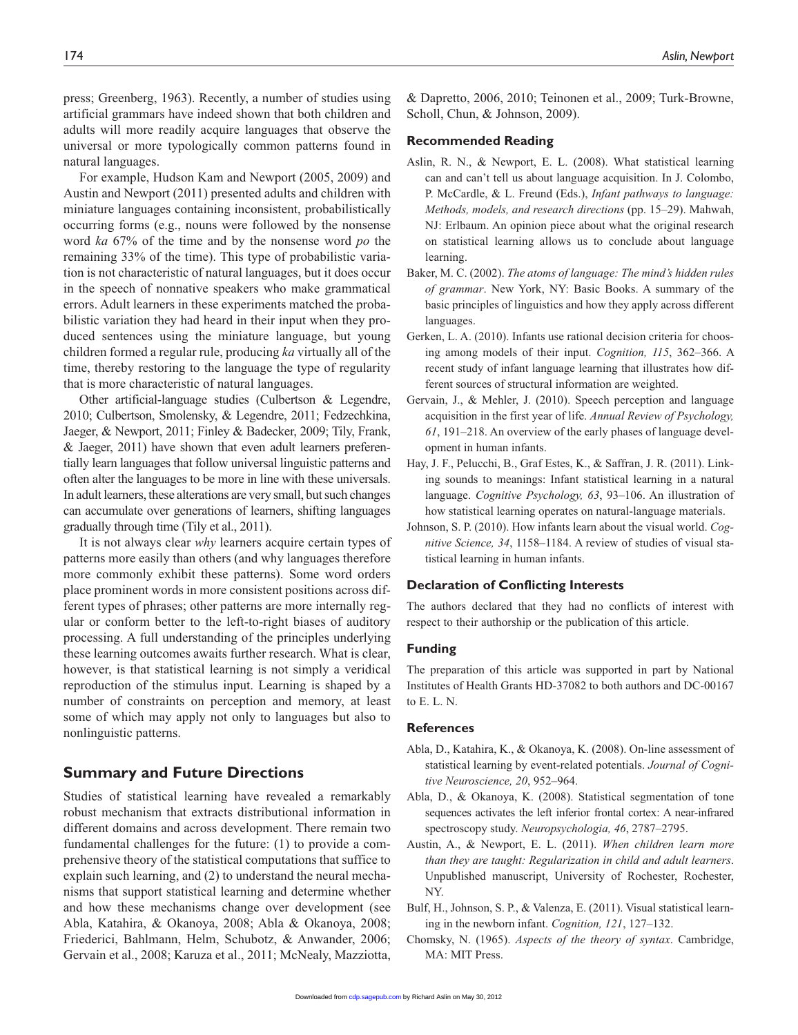press; Greenberg, 1963). Recently, a number of studies using artificial grammars have indeed shown that both children and adults will more readily acquire languages that observe the universal or more typologically common patterns found in natural languages.

For example, Hudson Kam and Newport (2005, 2009) and Austin and Newport (2011) presented adults and children with miniature languages containing inconsistent, probabilistically occurring forms (e.g., nouns were followed by the nonsense word *ka* 67% of the time and by the nonsense word *po* the remaining 33% of the time). This type of probabilistic variation is not characteristic of natural languages, but it does occur in the speech of nonnative speakers who make grammatical errors. Adult learners in these experiments matched the probabilistic variation they had heard in their input when they produced sentences using the miniature language, but young children formed a regular rule, producing *ka* virtually all of the time, thereby restoring to the language the type of regularity that is more characteristic of natural languages.

Other artificial-language studies (Culbertson & Legendre, 2010; Culbertson, Smolensky, & Legendre, 2011; Fedzechkina, Jaeger, & Newport, 2011; Finley & Badecker, 2009; Tily, Frank, & Jaeger, 2011) have shown that even adult learners preferentially learn languages that follow universal linguistic patterns and often alter the languages to be more in line with these universals. In adult learners, these alterations are very small, but such changes can accumulate over generations of learners, shifting languages gradually through time (Tily et al., 2011).

It is not always clear *why* learners acquire certain types of patterns more easily than others (and why languages therefore more commonly exhibit these patterns). Some word orders place prominent words in more consistent positions across different types of phrases; other patterns are more internally regular or conform better to the left-to-right biases of auditory processing. A full understanding of the principles underlying these learning outcomes awaits further research. What is clear, however, is that statistical learning is not simply a veridical reproduction of the stimulus input. Learning is shaped by a number of constraints on perception and memory, at least some of which may apply not only to languages but also to nonlinguistic patterns.

#### **Summary and Future Directions**

Studies of statistical learning have revealed a remarkably robust mechanism that extracts distributional information in different domains and across development. There remain two fundamental challenges for the future: (1) to provide a comprehensive theory of the statistical computations that suffice to explain such learning, and (2) to understand the neural mechanisms that support statistical learning and determine whether and how these mechanisms change over development (see Abla, Katahira, & Okanoya, 2008; Abla & Okanoya, 2008; Friederici, Bahlmann, Helm, Schubotz, & Anwander, 2006; Gervain et al., 2008; Karuza et al., 2011; McNealy, Mazziotta,

& Dapretto, 2006, 2010; Teinonen et al., 2009; Turk-Browne, Scholl, Chun, & Johnson, 2009).

#### **Recommended Reading**

- Aslin, R. N., & Newport, E. L. (2008). What statistical learning can and can't tell us about language acquisition. In J. Colombo, P. McCardle, & L. Freund (Eds.), *Infant pathways to language: Methods, models, and research directions* (pp. 15–29). Mahwah, NJ: Erlbaum. An opinion piece about what the original research on statistical learning allows us to conclude about language learning.
- Baker, M. C. (2002). *The atoms of language: The mind's hidden rules of grammar*. New York, NY: Basic Books. A summary of the basic principles of linguistics and how they apply across different languages.
- Gerken, L. A. (2010). Infants use rational decision criteria for choosing among models of their input. *Cognition, 115*, 362–366. A recent study of infant language learning that illustrates how different sources of structural information are weighted.
- Gervain, J., & Mehler, J. (2010). Speech perception and language acquisition in the first year of life. *Annual Review of Psychology, 61*, 191–218. An overview of the early phases of language development in human infants.
- Hay, J. F., Pelucchi, B., Graf Estes, K., & Saffran, J. R. (2011). Linking sounds to meanings: Infant statistical learning in a natural language. *Cognitive Psychology, 63*, 93–106. An illustration of how statistical learning operates on natural-language materials.
- Johnson, S. P. (2010). How infants learn about the visual world. *Cognitive Science, 34*, 1158–1184. A review of studies of visual statistical learning in human infants.

#### **Declaration of Conflicting Interests**

The authors declared that they had no conflicts of interest with respect to their authorship or the publication of this article.

#### **Funding**

The preparation of this article was supported in part by National Institutes of Health Grants HD-37082 to both authors and DC-00167 to E. L. N.

#### **References**

- Abla, D., Katahira, K., & Okanoya, K. (2008). On-line assessment of statistical learning by event-related potentials. *Journal of Cognitive Neuroscience, 20*, 952–964.
- Abla, D., & Okanoya, K. (2008). Statistical segmentation of tone sequences activates the left inferior frontal cortex: A near-infrared spectroscopy study. *Neuropsychologia, 46*, 2787–2795.
- Austin, A., & Newport, E. L. (2011). *When children learn more than they are taught: Regularization in child and adult learners*. Unpublished manuscript, University of Rochester, Rochester, NY.
- Bulf, H., Johnson, S. P., & Valenza, E. (2011). Visual statistical learning in the newborn infant. *Cognition, 121*, 127–132.
- Chomsky, N. (1965). *Aspects of the theory of syntax*. Cambridge, MA: MIT Press.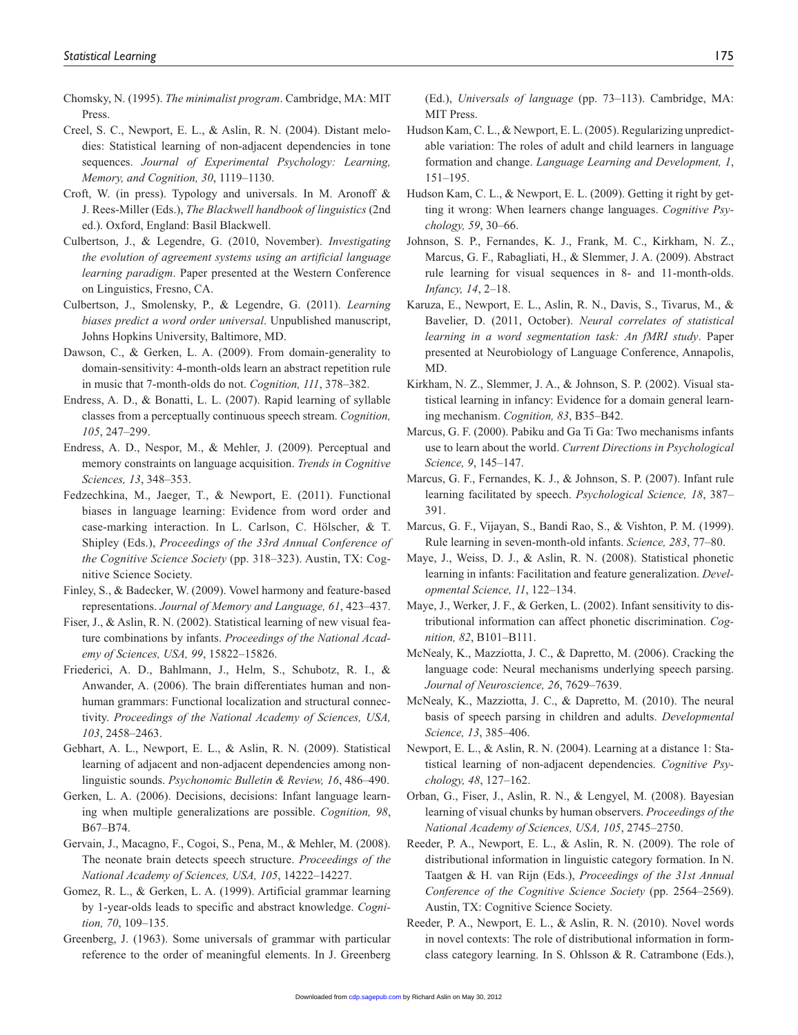- Chomsky, N. (1995). *The minimalist program*. Cambridge, MA: MIT Press.
- Creel, S. C., Newport, E. L., & Aslin, R. N. (2004). Distant melodies: Statistical learning of non-adjacent dependencies in tone sequences. *Journal of Experimental Psychology: Learning, Memory, and Cognition, 30*, 1119–1130.
- Croft, W. (in press). Typology and universals. In M. Aronoff & J. Rees-Miller (Eds.), *The Blackwell handbook of linguistics* (2nd ed.). Oxford, England: Basil Blackwell.
- Culbertson, J., & Legendre, G. (2010, November). *Investigating the evolution of agreement systems using an artificial language learning paradigm*. Paper presented at the Western Conference on Linguistics, Fresno, CA.
- Culbertson, J., Smolensky, P., & Legendre, G. (2011). *Learning biases predict a word order universal*. Unpublished manuscript, Johns Hopkins University, Baltimore, MD.
- Dawson, C., & Gerken, L. A. (2009). From domain-generality to domain-sensitivity: 4-month-olds learn an abstract repetition rule in music that 7-month-olds do not. *Cognition, 111*, 378–382.
- Endress, A. D., & Bonatti, L. L. (2007). Rapid learning of syllable classes from a perceptually continuous speech stream. *Cognition, 105*, 247–299.
- Endress, A. D., Nespor, M., & Mehler, J. (2009). Perceptual and memory constraints on language acquisition. *Trends in Cognitive Sciences, 13*, 348–353.
- Fedzechkina, M., Jaeger, T., & Newport, E. (2011). Functional biases in language learning: Evidence from word order and case-marking interaction. In L. Carlson, C. Hölscher, & T. Shipley (Eds.), *Proceedings of the 33rd Annual Conference of the Cognitive Science Society* (pp. 318–323). Austin, TX: Cognitive Science Society.
- Finley, S., & Badecker, W. (2009). Vowel harmony and feature-based representations. *Journal of Memory and Language, 61*, 423–437.
- Fiser, J., & Aslin, R. N. (2002). Statistical learning of new visual feature combinations by infants. *Proceedings of the National Academy of Sciences, USA, 99*, 15822–15826.
- Friederici, A. D., Bahlmann, J., Helm, S., Schubotz, R. I., & Anwander, A. (2006). The brain differentiates human and nonhuman grammars: Functional localization and structural connectivity. *Proceedings of the National Academy of Sciences, USA, 103*, 2458–2463.
- Gebhart, A. L., Newport, E. L., & Aslin, R. N. (2009). Statistical learning of adjacent and non-adjacent dependencies among nonlinguistic sounds. *Psychonomic Bulletin & Review, 16*, 486–490.
- Gerken, L. A. (2006). Decisions, decisions: Infant language learning when multiple generalizations are possible. *Cognition, 98*, B67–B74.
- Gervain, J., Macagno, F., Cogoi, S., Pena, M., & Mehler, M. (2008). The neonate brain detects speech structure. *Proceedings of the National Academy of Sciences, USA, 105*, 14222–14227.
- Gomez, R. L., & Gerken, L. A. (1999). Artificial grammar learning by 1-year-olds leads to specific and abstract knowledge. *Cognition, 70*, 109–135.
- Greenberg, J. (1963). Some universals of grammar with particular reference to the order of meaningful elements. In J. Greenberg

(Ed.), *Universals of language* (pp. 73–113). Cambridge, MA: MIT Press.

- Hudson Kam, C. L., & Newport, E. L. (2005). Regularizing unpredictable variation: The roles of adult and child learners in language formation and change. *Language Learning and Development, 1*, 151–195.
- Hudson Kam, C. L., & Newport, E. L. (2009). Getting it right by getting it wrong: When learners change languages. *Cognitive Psychology, 59*, 30–66.
- Johnson, S. P., Fernandes, K. J., Frank, M. C., Kirkham, N. Z., Marcus, G. F., Rabagliati, H., & Slemmer, J. A. (2009). Abstract rule learning for visual sequences in 8- and 11-month-olds. *Infancy, 14*, 2–18.
- Karuza, E., Newport, E. L., Aslin, R. N., Davis, S., Tivarus, M., & Bavelier, D. (2011, October). *Neural correlates of statistical learning in a word segmentation task: An fMRI study*. Paper presented at Neurobiology of Language Conference, Annapolis, MD.
- Kirkham, N. Z., Slemmer, J. A., & Johnson, S. P. (2002). Visual statistical learning in infancy: Evidence for a domain general learning mechanism. *Cognition, 83*, B35–B42.
- Marcus, G. F. (2000). Pabiku and Ga Ti Ga: Two mechanisms infants use to learn about the world. *Current Directions in Psychological Science, 9*, 145–147.
- Marcus, G. F., Fernandes, K. J., & Johnson, S. P. (2007). Infant rule learning facilitated by speech. *Psychological Science, 18*, 387– 391.
- Marcus, G. F., Vijayan, S., Bandi Rao, S., & Vishton, P. M. (1999). Rule learning in seven-month-old infants. *Science, 283*, 77–80.
- Maye, J., Weiss, D. J., & Aslin, R. N. (2008). Statistical phonetic learning in infants: Facilitation and feature generalization. *Developmental Science, 11*, 122–134.
- Maye, J., Werker, J. F., & Gerken, L. (2002). Infant sensitivity to distributional information can affect phonetic discrimination. *Cognition, 82*, B101–B111.
- McNealy, K., Mazziotta, J. C., & Dapretto, M. (2006). Cracking the language code: Neural mechanisms underlying speech parsing. *Journal of Neuroscience, 26*, 7629–7639.
- McNealy, K., Mazziotta, J. C., & Dapretto, M. (2010). The neural basis of speech parsing in children and adults. *Developmental Science, 13*, 385–406.
- Newport, E. L., & Aslin, R. N. (2004). Learning at a distance 1: Statistical learning of non-adjacent dependencies. *Cognitive Psychology, 48*, 127–162.
- Orban, G., Fiser, J., Aslin, R. N., & Lengyel, M. (2008). Bayesian learning of visual chunks by human observers. *Proceedings of the National Academy of Sciences, USA, 105*, 2745–2750.
- Reeder, P. A., Newport, E. L., & Aslin, R. N. (2009). The role of distributional information in linguistic category formation. In N. Taatgen & H. van Rijn (Eds.), *Proceedings of the 31st Annual Conference of the Cognitive Science Society* (pp. 2564–2569). Austin, TX: Cognitive Science Society.
- Reeder, P. A., Newport, E. L., & Aslin, R. N. (2010). Novel words in novel contexts: The role of distributional information in formclass category learning. In S. Ohlsson & R. Catrambone (Eds.),